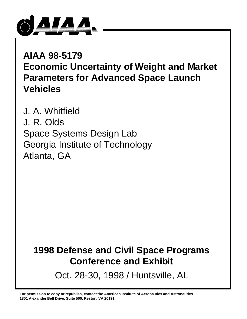

**AIAA 98-5179 Economic Uncertainty of Weight and Market Parameters for Advanced Space Launch Vehicles**

J. A. Whitfield J. R. Olds Space Systems Design Lab Georgia Institute of Technology Atlanta, GA

# **1998 Defense and Civil Space Programs Conference and Exhibit**

Oct. 28-30, 1998 / Huntsville, AL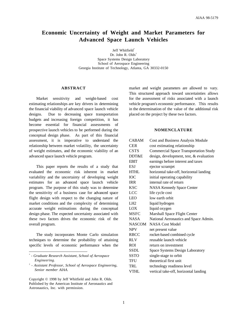### **Economic Uncertainty of Weight and Market Parameters for Advanced Space Launch Vehicles**

Jeff Whitfield\* Dr. John R. Olds<sup>†</sup> Space Systems Design Laboratory School of Aerospace Engineering Georgia Institute of Technology, Atlanta, GA 30332-0150

#### **ABSTRACT**

Market sensitivity and weight-based cost estimating relationships are key drivers in determining the financial viability of advanced space launch vehicle designs. Due to decreasing space transportation budgets and increasing foreign competition, it has become essential for financial assessments of prospective launch vehicles to be performed during the conceptual design phase. As part of this financial assessment, it is imperative to understand the relationship between market volatility, the uncertainty of weight estimates, and the economic viability of an advanced space launch vehicle program.

This paper reports the results of a study that evaluated the economic risk inherent in market variability and the uncertainty of developing weight estimates for an advanced space launch vehicle program. The purpose of this study was to determine the sensitivity of a business case for advanced space flight design with respect to the changing nature of market conditions and the complexity of determining accurate weight estimations during the conceptual design phase. The expected uncertainty associated with these two factors drives the economic risk of the overall program.

The study incorporates Monte Carlo simulation techniques to determine the probability of attaining specific levels of economic performance when the market and weight parameters are allowed to vary. This structured approach toward uncertainties allows for the assessment of risks associated with a launch vehicle program's economic performance. This results in the determination of the value of the additional risk placed on the project by these two factors.

#### **NOMENCLATURE**

| <b>CABAM</b>    | Cost and Business Analysis Module            |
|-----------------|----------------------------------------------|
| <b>CER</b>      | cost estimating relationship                 |
| <b>CSTS</b>     | <b>Commercial Space Transportation Study</b> |
| DDT&E           | design, development, test, & evaluation      |
| <b>EBIT</b>     | earnings before interest and taxes           |
| ESJ             | ejector scramjet                             |
| <b>HTHL</b>     | horizontal take-off, horizontal landing      |
| <b>IOC</b>      | initial operating capability                 |
| <b>IRR</b>      | internal rate of return                      |
| <b>KSC</b>      | <b>NASA Kennedy Space Center</b>             |
| LCC             | life cycle cost                              |
| <b>LEO</b>      | low earth orbit                              |
| LH <sub>2</sub> | liquid hydrogen                              |
| LOX             | liquid oxygen                                |
| <b>MSFC</b>     | Marshall Space Flight Center                 |
| <b>NASA</b>     | National Aeronautics and Space Admin.        |
| <b>NASCOM</b>   | NASA Cost Model                              |
| <b>NPV</b>      | net present value                            |
| <b>RBCC</b>     | rocket-based combined cycle                  |
| <b>RLV</b>      | reusable launch vehicle                      |
| <b>ROI</b>      | return on investment                         |
| <b>SSDL</b>     | Space Systems Design Laboratory              |
| <b>SSTO</b>     | single-stage to orbit                        |
| <b>TFU</b>      | theoretical first unit                       |
| TRL             | technology readiness level                   |
| <b>VTHL</b>     | vertical take-off, horizontal landing        |

<sup>\*</sup>  *- Graduate Research Assistant, School of Aerospace Engineering.*

<sup>†</sup>  *- Assistant Professor, School of Aerospace Engineering, Senior member AIAA.*

Copyright © 1998 by Jeff Whitfield and John R. Olds. Published by the American Institute of Aeronautics and Astronautics, Inc. with permission.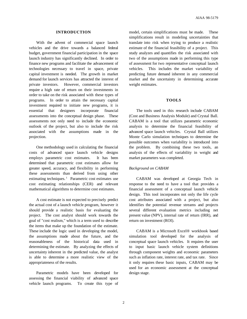#### **INTRODUCTION**

With the advent of commercial space launch vehicles and the drive towards a balanced federal budget, government financial participation in the space launch industry has significantly declined. In order to finance new programs and facilitate the advancement of technologies necessary to travel in space, private capital investment is needed. The growth in market demand for launch services has attracted the interest of private investors. However, commercial investors require a high rate of return on their investments in order to take on the risk associated with these types of programs. In order to attain the necessary capital investment required to initiate new programs, it is essential that designers incorporate financial assessments into the conceptual design phase. These assessments not only need to include the economic outlook of the project, but also to include the risk associated with the assumptions made in the projection.

One methodology used in calculating the financial costs of advanced space launch vehicle designs employs parametric cost estimates. It has been determined that parametric cost estimates allow for greater speed, accuracy, and flexibility in performing these assessments than derived from using other estimating techniques.<sup>1</sup> Parametric cost estimates use cost estimating relationships (CER) and relevant mathematical algorithms to determine cost estimates.

A cost estimate is not expected to precisely predict the actual cost of a launch vehicle program, however it should provide a realistic basis for evaluating the project. The cost analyst should work towards the goal of "cost realism," which is a term used to describe the items that make up the foundation of the estimate. These include the logic used in developing the model, the assumptions made about the future, and the reasonableness of the historical data used in determining the estimate. By analyzing the effects of uncertainty inherent in the predicted value, the analyst is able to determine a more realistic view of the appropriateness of the results.

Parametric models have been developed for assessing the financial viability of advanced space vehicle launch programs. To create this type of

model, certain simplifications must be made. These simplifications result in modeling uncertainties that translate into risk when trying to produce a realistic estimate of the financial feasibility of a project. This study analyzes and quantifies the risk associated with two of the assumptions made in performing this type of assessment for two representative conceptual launch vehicles. This includes the market variability of predicting future demand inherent in any commercial market and the uncertainty in determining accurate weight estimates.

#### **TOOLS**

The tools used in this research include CABAM (Cost and Business Analysis Module) and Crystal Ball. CABAM is a tool that utilizes parametric economic analysis to determine the financial feasibility of advanced space launch vehicles. Crystal Ball utilizes Monte Carlo simulation techniques to determine the possible outcomes when variability is introduced into the problem. By combining these two tools, an analysis of the effects of variability in weight and market parameters was completed.

#### *Background on CABAM*

CABAM was developed at Georgia Tech in response to the need to have a tool that provides a financial assessment of a conceptual launch vehicle design. This tool incorporates not only the life cycle cost attributes associated with a project, but also identifies the potential revenue streams and projects several different evaluation metrics including net present value (NPV), internal rate of return (IRR), and return on investment (ROI).

CABAM is a Microsoft Excel® workbook based simulation tool developed for the analysis of conceptual space launch vehicles. It requires the user to input basic launch vehicle system definitions through component weights and economic parameters such as inflation rate, interest rate, and tax rate. Since it only requires these basic inputs, CABAM may be used for an economic assessment at the conceptual design stage.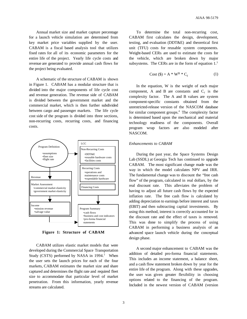Annual market size and market capture percentage for a launch vehicle simulation are determined from key market price variables supplied by the user. CABAM is a fiscal based analysis tool that utilizes fixed rates for all of its economic parameters for the entire life of the project. Yearly life cycle costs and revenue are generated to provide annual cash flows for the project being evaluated.

A schematic of the structure of CABAM is shown in Figure 1. CABAM has a modular structure that is divided into the major components of life cycle cost and revenue generation. The revenue side of CABAM is divided between the government market and the commercial market, which is then further subdivided between cargo and passenger markets. The life cycle cost side of the program is divided into three sections, non-recurring costs, recurring costs, and financing costs.



**Figure 1: Structure of CABAM**

CABAM utilizes elastic market models that were developed during the Commercial Space Transportation Study (CSTS) performed by NASA in 1994.<sup>2</sup> When the user sets the launch prices for each of the four markets, CABAM estimates the market size and share captured and determines the flight rate and required fleet size to accommodate that particular level of market penetration. From this information, yearly revenue streams are calculated.

To determine the total non-recurring cost, CABAM first calculates the design, development, testing, and evaluation (DDT&E) and theoretical first unit (TFU) costs for reusable system components. Weight-based CERs are used to estimate the costs for the vehicle, which are broken down by major subsystems. The CERs are in the form of equation  $1<sup>3</sup>$ 

$$
Cost (\text{I}) = A * W^B * C_f \tag{1}
$$

In the equation, W is the weight of each major component, A and B are constants and  $C_f$  is the complexity factor. The A and B values are system component-specific constants obtained from the unrestricted-release version of the NASCOM database for similar component groups.<sup>4</sup> The complexity factor is determined based upon the mechanical and material technology readiness of the components. Overall program wrap factors are also modeled after NASCOM.

#### *Enhancements to CABAM*

During the past year, the Space Systems Design Lab (SSDL) at Georgia Tech has continued to upgrade CABAM. The most significant change made was the way in which the model calculates NPV and IRR. The fundamental change was to discount the "free cash flow" of the program, calculated in real dollars, by the real discount rate. This alleviates the problem of having to adjust all future cash flows by the expected inflation rate. The free cash flow is calculated by adding depreciation to earnings before interest and taxes (EBIT) and then subtracting capital investments. By using this method, interest is correctly accounted for in the discount rate and the effect of taxes is removed. This was done to simplify the process of using CABAM in performing a business analysis of an advanced space launch vehicle during the conceptual design phase.

A second major enhancement to CABAM was the addition of detailed pro-forma financial statements. This includes an income statement, a balance sheet, and a cash flow statement broken down by year for the entire life of the program. Along with these upgrades, the user was given greater flexibility in choosing options related to the financing of the program. Included in the newest version of CABAM (version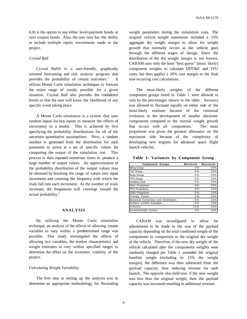6.0) is the option to use either level-payment bonds or zero coupon bonds. Also, the user now has the ability to include multiple equity investments made in the project.

#### *Crystal Ball*

Crystal Ball® is a user-friendly, graphically oriented forecasting and risk analysis program that provides the probability of certain outcomes.<sup>5</sup> It utilizes Monte Carlo simulation techniques to forecast the entire range of results possible for a given situation. Crystal Ball also provides the confidence levels so that the user will know the likelihood of any specific event taking place.

A Monte Carlo simulation is a system that uses random inputs for key inputs to measure the effects of uncertainty in a model. This is achieved by first specifying the probability distributions for all of the uncertain quantitative assumptions. Next, a random number is generated from the distribution for each parameter to arrive at a set of specific values for computing the output of the simulation run. This process is then repeated numerous times to produce a large number of output values. An approximation of the probability distribution of the output values may be obtained by breaking the range of values into equal increments and counting the frequency with which the trials fall into each increment. As the number of trials increases, the frequencies will converge toward the actual probability.<sup>6</sup>

#### **ANALYSIS**

By utilizing the Monte Carlo simulation technique, an analysis of the effects of allowing certain variables to vary within a predetermined range was possible. This study investigated the effects of allowing two variables, the market characteristics and weight estimates to vary within specified ranges to determine the effect on the economic viability of the project.

#### *Calculating Weight Variability*

The first step in setting up the analysis was to determine an appropriate methodology for fluctuating

weight parameters during the simulation runs. The original vehicle weight statements included a 15% aggregate dry weight margin to allow for weight growth that normally occurs as the vehicle goes through the different stages of design. Since the distribution of the dry weight margin is not known, CABAM uses only the base "best guess" (most likely) component weights to calculate DDT&E and TFU costs, but then applies a 20% cost margin to the final non-recurring cost calculations.

The most-likely weights of the different component groups listed in Table 1 were allowed to vary by the percentages shown in the table. Avionics was allowed to fluctuate equally on either side of the most-likely estimate because of the continual evolution in the development of smaller electronic components compared to the normal weight growth that occurs with all components. The main propulsion was given the greatest allowance on the maximum side because of the complexity of developing new engines for advanced space flight launch vehicles.

**Table 1: Variances by Component Group**

| <b>Component Groups</b>                | Minimum | Maximum |
|----------------------------------------|---------|---------|
| <b>Wing Group</b>                      | $-5%$   | 20%     |
| <b>Tail Group</b>                      | $-5%$   | 20%     |
| <b>Body Group</b>                      | $-5%$   | 20%     |
| <b>TPS Group</b>                       | $-5%$   | 20%     |
| <b>Landing Gear</b>                    | $-5%$   | 20%     |
| Main Propulsion                        | $-5%$   | 25%     |
| <b>RCS Propulsion</b>                  | $-5%$   | 10%     |
| <b>OMS</b> Propulsion                  | $-5%$   | 10%     |
| Primary Power                          | $-5%$   | 10%     |
| Electrical Conversion and Distribution | $-5%$   | 10%     |
| Surface Control Actuation              | $-5%$   | 10%     |
| Avionics                               | $-10%$  | 10%     |
| <b>Environmental Control</b>           | $-5%$   | 10%     |

CABAM was reconfigured to allow for adjustments to be made in the size of the payload capacity depending on the total combined weight of the components in comparison to the original dry weight of the vehicle. Therefore, if the new dry weight of the vehicle calculated *after* the components weights were randomly changed per Table 1 exceeded the original baseline weight (including its 15% dry weight margin), the difference was then subtracted from the payload capacity, thus reducing revenue for each launch. The opposite also held true: if the new weight was less than the original weight, then the payload capacity was increased resulting in additional revenue.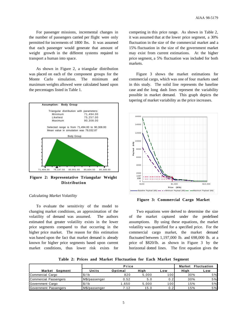For passenger missions, incremental changes in the number of passengers carried per flight were only permitted for increments of 1800 lbs. It was assumed that each passenger would generate that amount of weight growth in the different systems required to transport a human into space.

As shown in Figure 2, a triangular distribution was placed on each of the component groups for the Monte Carlo simulation. The minimum and maximum weights allowed were calculated based upon the percentages listed in Table 1.



**Figure 2: Representative Triangular Weight Distribution**

#### *Calculating Market Volatility*

To evaluate the sensitivity of the model to changing market conditions, an approximation of the volatility of demand was assumed. The authors estimated that greater volatility exists in the lower price segments compared to that occurring in the higher price market. The reason for this estimation was based upon the fact that market demand is already known for higher price segments based upon current market conditions, thus lower risk exists for competing in this price range. As shown in Table 2, it was assumed that at the lower price segment, a 30% fluctuation in the size of the commercial market and a 15% fluctuation in the size of the government market may exist from current estimations. At the higher price segment, a 5% fluctuation was included for both markets.

Figure 3 shows the market estimations for commercial cargo, which was one of four markets used in this study. The solid line represents the baseline case and the long dash lines represent the variability possible in market demand. This graph depicts the tapering of market variability as the price increases.



**Figure 3: Commercial Cargo Market**

Two equations were derived to determine the size of the market captured under the predefined assumptions. By using these equations, the market volatility was quantified for a specified price. For the commercial cargo market, the market demand fluctuated between 1,197,000 lb. and 698,000 lb. at a price of \$820/lb. as shown in Figure 3 by the horizontal dotted lines. The first equation gives the

**Table 2: Prices and Market Fluctuation for Each Market Segment**

|                       | Price                |         |       | <b>Market</b>    | <b>Fluctuation</b> |     |
|-----------------------|----------------------|---------|-------|------------------|--------------------|-----|
| Market<br>Seament     | Units                | Optimal | Hiah  | Low              | Hiah               | Low |
| Commercial Cargo      | \$/lb                | 820     | 5.000 | 100              | 30%                | 5%  |
| Commercial Passengers | IM\$/passenger       | 0.52    | 5.0   | 0.2              | 30%                | 5%  |
| Government Cargo      | \$/lb                | .650    | 5.000 | 100 <sup>1</sup> | 15%                | 5%  |
| Government Passengers | <b>M\$/passenger</b> | 7.12    | 15.0  | 0.2 <sub>1</sub> | 15%                | 5%  |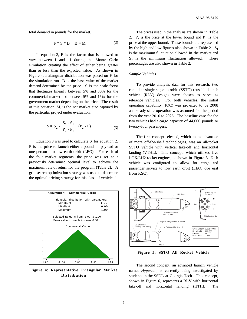total demand in pounds for the market.

$$
F * S * B + B = M \tag{2}
$$

In equation 2, F is the factor that is allowed to vary between 1 and –1 during the Monte Carlo simulation creating the effect of either being greater than or less than the expected value. As shown in Figure 4, a triangular distribution was placed on F for the simulation run. B is the base value of the market demand determined by the price. S is the scale factor that fluctuates linearly between 5% and 30% for the commercial market and between 5% and 15% for the government market depending on the price. The result of this equation, M, is the net market size captured by the particular project under evaluation.

$$
S = S_2 - \frac{S_2 - S_1}{P_2 - P_1} \quad (P_2 - P) \tag{3}
$$

Equation 3 was used to calculate S for equation 2. P is the price to launch either a pound of payload or one person into low earth orbit (LEO). For each of the four market segments, the price was set at a previously determined optimal level to achieve the maximum rate of return for the program (Table 2). A grid search optimization strategy was used to determine the optimal pricing strategy for this class of vehicles.<sup>7</sup>



**Figure 4: Representative Triangular Market Distribution**

The prices used in the analysis are shown in Table 2.  $P_1$  is the price at the lower bound and  $P_2$  is the price at the upper bound. These bounds are represented by the high and low figures also shown in Table 2.  $S_1$ is the maximum fluctuation allowed in the market and  $S_2$  is the minimum fluctuation allowed. These percentages are also shown in Table 2.

#### *Sample Vehicles*

To provide analysis data for this research, two candidate single-stage-to-orbit (SSTO) reusable launch vehicle (RLV) designs were chosen to serve as reference vehicles. For both vehicles, the initial operating capability (IOC) was projected to be 2008 and steady state operation was assumed for the period from the year 2010 to 2025. The baseline case for the two vehicles had a cargo capacity of 44,000 pounds or twenty-four passengers.

The first concept selected, which takes advantage of more off-the-shelf technologies, was an all-rocket SSTO vehicle with vertical take-off and horizontal landing (VTHL). This concept, which utilizes five LOX/LH2 rocket engines, is shown in Figure 5. Each vehicle was configured to allow for cargo and passenger service to low earth orbit (LEO, due east from KSC).



**Figure 5: SSTO All Rocket Vehicle**

The second concept, an advanced launch vehicle named *Hyperion*, is currently being investigated by students in the SSDL at Georgia Tech. This concept, shown in Figure 6, represents a RLV with horizontal take-off and horizontal landing (HTHL). The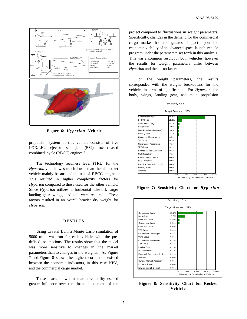

**Figure 6:** *Hyperion* **Vehicle**

propulsion system of this vehicle consists of five LOX/LH2 ejector scramjet (ESJ) rocket-based combined–cycle (RBCC) engines.<sup>8</sup>

The technology readiness level (TRL) for the *Hyperion* vehicle was much lower than the all rocket vehicle mainly because of the use of RBCC engines. This resulted in higher complexity factors for *Hyperion* compared to those used for the other vehicle. Since *Hyperion* utilizes a horizontal take-off, larger landing gear, wings, and tail were required. These factors resulted in an overall heavier dry weight for *Hyperion*.

#### **RESULTS**

Using Crystal Ball, a Monte Carlo simulation of 5000 trails was run for each vehicle with the predefined assumptions. The results show that the model was more sensitive to changes in the market parameters than to changes in the weights. As Figure 7 and Figure 8 show, the highest correlation existed between the economic indicators, in this case NPV, and the commercial cargo market.

These charts show that market volatility exerted greater influence over the financial outcome of the project compared to fluctuations in weight parameters. Specifically, changes in the demand for the commercial cargo market had the greatest impact upon the economic viability of an advanced space launch vehicle program under the parameters set forth in this analysis. This was a common result for both vehicles, however the results for weight parameters differ between *Hyperion* and the all-rocket vehicle.

For the weight parameters, the results corresponded with the weight breakdowns for the vehicles in terms of significance. For *Hyperion*, the body, wings, landing gear, and main propulsion



**Figure 7: Sensitivity Chart for** *Hyperion*



**Figure 8: Sensitivity Chart for Rocket Vehicle**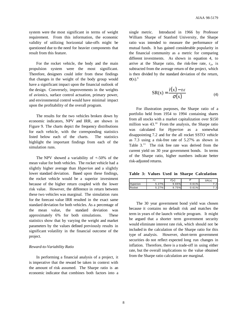system were the most significant in terms of weight requirement. From this information, the economic validity of utilizing horizontal take-offs might be questioned due to the need for heavier components that result from this feature.

For the rocket vehicle, the body and the main propulsion system were the most significant. Therefore, designers could infer from these findings that changes in the weight of the body group would have a significant impact upon the financial outlook of the design. Conversely, improvements in the weights of avionics, surface control actuation, primary power, and environmental control would have minimal impact upon the profitability of the overall program.

The results for the two vehicles broken down by economic indicators, NPV and IRR, are shown in Figure 9. The charts depict the frequency distributions for each vehicle, with the corresponding statistics listed below each of the charts. The statistics highlight the important findings from each of the simulation runs.

The NPV showed a variability of  $+50\%$  of the mean value for both vehicles. The rocket vehicle had a slightly higher average than *Hyperion* and a slightly lower standard deviation. Based upon these findings, the rocket vehicle would be a superior investment because of the higher return coupled with the lower risk value. However, the difference in return between these two vehicles was marginal. The simulation runs for the forecast value IRR resulted in the exact same standard deviation for both vehicles. As a percentage of the mean value, the standard deviation was approximately 6% for both simulations. These statistics show that by varying the weight and market parameters by the values defined previously results in significant volatility in the financial outcome of the project.

#### *Reward-to-Variability Ratio*

In performing a financial analysis of a project, it is imperative that the reward be taken in context with the amount of risk assumed. The Sharpe ratio is an economic indicator that combines both factors into a

single metric. Introduced in 1966 by Professor William Sharpe of Stanford University, the Sharpe ratio was intended to measure the performance of mutual funds. It has gained considerable popularity in the financial community as a metric for comparing different investments. As shown in equation 4, to arrive at the Sharpe ratio, the risk-free rate,  $r_{\text{rf}}$ , is subtracted from the average return of the project, which is then divided by the standard deviation of the return,  $σ(x).<sup>9</sup>$ 

$$
SR(x) = \frac{\bar{r}(x) - r_{rf}}{\sigma(x)}
$$
(4)

For illustration purposes, the Sharpe ratio of a portfolio held from 1954 to 1994 containing shares from all stocks with a market capitalization over \$150 million was 43.10 From the analysis, the Sharpe ratio was calculated for *Hyperion* as a somewhat disappointing 7.2 and for the all rocket SSTO vehicle as 7.3 using a risk-free rate of 5.27% as shown in Table  $3<sup>11</sup>$  The risk free rate was derived from the current yield on 30 year government bonds. In terms of the Sharpe ratio, higher numbers indicate better risk-adjusted returns.

**Table 3: Values Used in Sharpe Calculation**

|          | rŋ       | $\overline{\phantom{a}}$<br>r(x) | v         | SR(x)           |
|----------|----------|----------------------------------|-----------|-----------------|
| Hyperion | 27%<br>∽ | 9.65%                            | 0.61%     | C<br>$-$        |
| Rocket   | 27%      | 9.75%                            | 61%<br>0. | .3 <sup>1</sup> |

The 30 year government bond yield was chosen because it contains no default risk and matches the term in years of the launch vehicle program. It might be argued that a shorter term government security would eliminate interest rate risk, which should not be included in the calculation of the Sharpe ratio for this type of analysis. However, short-term government securities do not reflect expected long run changes in inflation. Therefore, there is a trade-off in using either rate, but the overall implications to the value obtained from the Sharpe ratio calculation are marginal.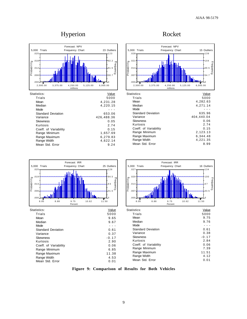## Hyperion Rocket



| Statistics:               | Value      |
|---------------------------|------------|
| Trials                    | 5000       |
| Mean                      | 4.231.28   |
| Median                    | 4,220.15   |
| Mode                      |            |
| <b>Standard Deviation</b> | 653.06     |
| Variance                  | 426,488.36 |
| <b>Skewness</b>           | 0.05       |
| Kurtosis                  | 2.74       |
| Coeff. of Variability     | 0.15       |
| Range Minimum             | 1,657.69   |
| Range Maximum             | 6,279.83   |
| Range Width               | 4,622.14   |
| Mean Std. Error           | 9.24       |
|                           |            |



| Statistics:               | Value      |
|---------------------------|------------|
| Trials                    | 5000       |
| Mean                      | 4,282.63   |
| Median                    | 4,271.14   |
| Mode                      |            |
| <b>Standard Deviation</b> | 635.96     |
| Variance                  | 404.440.04 |
| <b>Skewness</b>           | 0.06       |
| Kurtosis                  | 2.74       |
| Coeff. of Variability     | 0.15       |
| Range Minimum             | 2,123.13   |
| Range Maximum             | 6.344.48   |
| Range Width               | 4,221.35   |
| Mean Std. Error           | 8.99       |
|                           |            |



**Figure 9: Comparison of Results for Both Vehicles**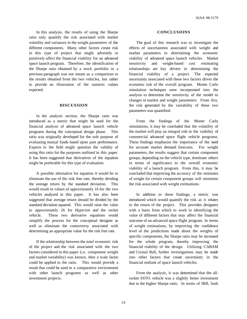In this analysis, the results of using the Sharpe ratio only quantify the risk associated with market volatility and variances in the weight parameters of the different components. Many other factors create risk in this type of project that might adversely or positively affect the financial viability for an advanced space launch program. Therefore, the identification of the Sharpe ratio obtained by a stock portfolio in a previous paragraph was not meant as a comparison to the results obtained from the two vehicles, but rather to provide an illustration of the numeric values expected.

#### **DISCUSSION**

In the analysis section, the Sharpe ratio was introduced as a metric that might be used for the financial analysis of advanced space launch vehicle programs during the conceptual design phase. This ratio was originally developed for the sole purpose of evaluating mutual funds based upon past performance. Experts in the field might question the validity of using this ratio for the purposes outlined in this paper. It has been suggested that derivatives of the equation might be preferable for this type of evaluation.

A possible alternative for equation 4 would be to eliminate the use of the risk free rate, thereby dividing the average return by the standard deviation. This would result in values of approximately 16 for the two vehicles analyzed in this paper. It has also been suggested that average return should be divided by the standard deviation squared. This would raise the value to approximately 26 for *Hyperion* and the rocket vehicle. These two derivative equations would simplify the process for the conceptual designer as well as eliminate the controversy associated with determining an appropriate value for the risk free rate.

If the relationship between the *total* economic risk of the project and the risk associated with the two factors considered in this paper (i.e. component weight and market variability) was known, then a scale factor could be applied to the ratio. This would provide a result that could be used in a comparative environment with other launch programs as well as other investment projects.

#### **CONCLUSIONS**

The goal of this research was to investigate the effects of uncertainties associated with weight and market parameters in determining the economic viability of advanced space launch vehicles. Market sensitivity and weight-based cost estimating relationships are key drivers in determining the financial viability of a project. The expected uncertainty associated with these two factors drives the economic risk of the overall program. Monte Carlo simulation techniques were incorporated into the analysis to determine the sensitivity of the model to changes in market and weight parameters. From this, the risk generated by the variability of these two parameters was quantified.

From the findings of the Monte Carlo simulations, it may be concluded that the volatility of the market will play an integral role in the viability of commercial advanced space flight vehicle programs. These findings emphasize the importance of the need for accurate market demand forecasts. For weight parameters, the results suggest that certain component groups, depending on the vehicle type, dominate others in terms of significance to the overall economic viability of a launch program. From this, it may be concluded that improving the accuracy of the estimates of weight for certain component groups will minimize the risk associated with weight estimations.

In addition to these findings, a metric was introduced which would quantify the risk as it relates to the return of the project. This provides designers with a basis from which to work in identifying the value of different factors that may affect the financial outcome of an advanced space flight program. In terms of weight estimations, by improving the confidence level of the predictions made about the weights of specific components, the Sharpe ratio may be increased for the whole program, thereby improving the financial viability of the design. Utilizing CABAM and Crystal Ball, further investigations may be made into other factors that create uncertainty in the financial outlook of space launch vehicles.

From the analysis, it was determined that the allrocket SSTO vehicle was a slightly better investment due to the higher Sharpe ratio. In terms of IRR, both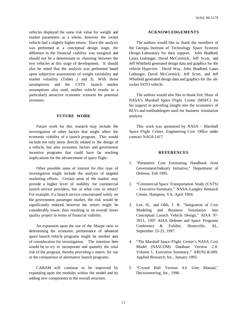AIAA 98-5179

vehicles displayed the same risk value for weight and market parameters as a whole, however the rocket vehicle had a slightly higher return. Since the analysis was performed at a conceptual design stage, the difference in the financial viability was marginal and should not be a determinant in choosing between the two vehicles at this stage of development. It should also be noted that the analysis was performed based upon subjective assessments of weight variability and market volatility (Tables 2 and 3). With those assumptions and the CSTS launch market assumptions also used, neither vehicle results in a particularly attractive economic scenario for potential investors.

#### **FUTURE WORK**

Future work for this research may include the investigation of other factors that might affect the economic viability of a launch program. This would include not only items directly related to the design of a vehicle, but also economic factors and government incentive programs that could have far reaching implications for the advancement of space flight.

Other possible areas of interest for this type of investigation might include the analysis of targeted marketing efforts. Certain areas of the market may provide a higher level of stability for commercial launch service providers, but at what cost to return? For example, if a launch service concentrated solely on the government passenger market, the risk would be significantly reduced, however the return might be considerably lower, thus resulting in an overall lower quality project in terms of financial viability.

An expansion upon the use of the Sharpe ratio in determining the economic performance of advanced space launch vehicle programs might be another area of consideration for investigation. The intention here would be to try to incorporate and quantify the total risk of the program, thereby providing a metric for use in the comparison of alternative launch programs.

CABAM will continue to be improved by expanding upon the modules within the model and by adding new components to the overall structure.

#### **ACKNOWLEDGEMENTS**

The authors would like to thank the members of the Georgia Institute of Technology Space Systems Design Laboratory for their support. John Bradford, Laura Ledsinger, David McCormick, Jeff Scott, and Jeff Whitfield generated design data and graphics for the vehicle *Hyperion*. David Way, John Bradford, Laura Ledsinger, David McCormick, Jeff Scott, and Jeff Whitfield generated design data and graphics for the allrocket SSTO vehicle.

The authors would also like to thank Eric Shaw of NASA's Marshall Space Flight Center (MSFC) for his support in providing insight into the economics of RLVs and methodologies used for business simulation analysis.

This work was sponsored by NASA - Marshall Space Flight Center, Engineering Cost Office under contract NAG8-1417.

#### **REFERENCES**

- 1. "Parametric Cost Estimating Handbook Joint Government/Industry Initiative," Department of Defense, Fall 1995.
- 2. "Commercial Space Transportation Study (CSTS) – Executive Summary," NASA–Langley Research Center, Hampton, VA, April 1994.
- 3. Lee, H., and Olds, J. R. "Integration of Cost Modeling and Business Simulation into Conceptual Launch Vehicle Design," AIAA 97- 3911, 1997 AIAA Defense and Space Programs Conference & Exhibit, Huntsville, AL, September 23-25, 1997.
- 4. "The Marshall Space Flight Center's NASA Cost Model (NASCOM) Database Version 2.0: Volume 1, Executive Summary," ARI/92-R-009, Applied Research, Inc., January 1993.
- 5. "Crystal Ball Version 4.0 User Manual," Decisioneering, Inc., 1996.